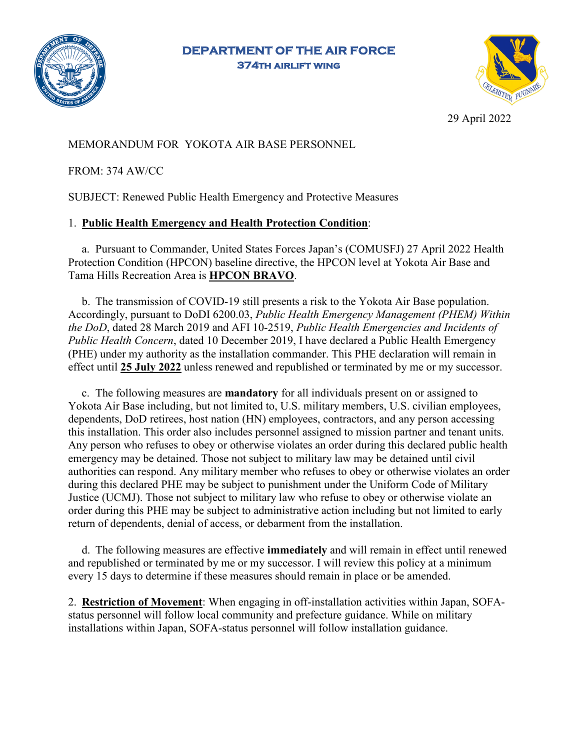

**DEPARTMENT OF THE AIR FORCE 374th airlift wing** 



29 April 2022

MEMORANDUM FOR YOKOTA AIR BASE PERSONNEL

FROM: 374 AW/CC

SUBJECT: Renewed Public Health Emergency and Protective Measures

## 1. **Public Health Emergency and Health Protection Condition**:

a. Pursuant to Commander, United States Forces Japan's (COMUSFJ) 27 April 2022 Health Protection Condition (HPCON) baseline directive, the HPCON level at Yokota Air Base and Tama Hills Recreation Area is **HPCON BRAVO**.

b. The transmission of COVID-19 still presents a risk to the Yokota Air Base population. Accordingly, pursuant to DoDI 6200.03, *Public Health Emergency Management (PHEM) Within the DoD*, dated 28 March 2019 and AFI 10-2519, *Public Health Emergencies and Incidents of Public Health Concern*, dated 10 December 2019, I have declared a Public Health Emergency (PHE) under my authority as the installation commander. This PHE declaration will remain in effect until **25 July 2022** unless renewed and republished or terminated by me or my successor.

c. The following measures are **mandatory** for all individuals present on or assigned to Yokota Air Base including, but not limited to, U.S. military members, U.S. civilian employees, dependents, DoD retirees, host nation (HN) employees, contractors, and any person accessing this installation. This order also includes personnel assigned to mission partner and tenant units. Any person who refuses to obey or otherwise violates an order during this declared public health emergency may be detained. Those not subject to military law may be detained until civil authorities can respond. Any military member who refuses to obey or otherwise violates an order during this declared PHE may be subject to punishment under the Uniform Code of Military Justice (UCMJ). Those not subject to military law who refuse to obey or otherwise violate an order during this PHE may be subject to administrative action including but not limited to early return of dependents, denial of access, or debarment from the installation.

d. The following measures are effective **immediately** and will remain in effect until renewed and republished or terminated by me or my successor. I will review this policy at a minimum every 15 days to determine if these measures should remain in place or be amended.

2. **Restriction of Movement**: When engaging in off-installation activities within Japan, SOFAstatus personnel will follow local community and prefecture guidance. While on military installations within Japan, SOFA-status personnel will follow installation guidance.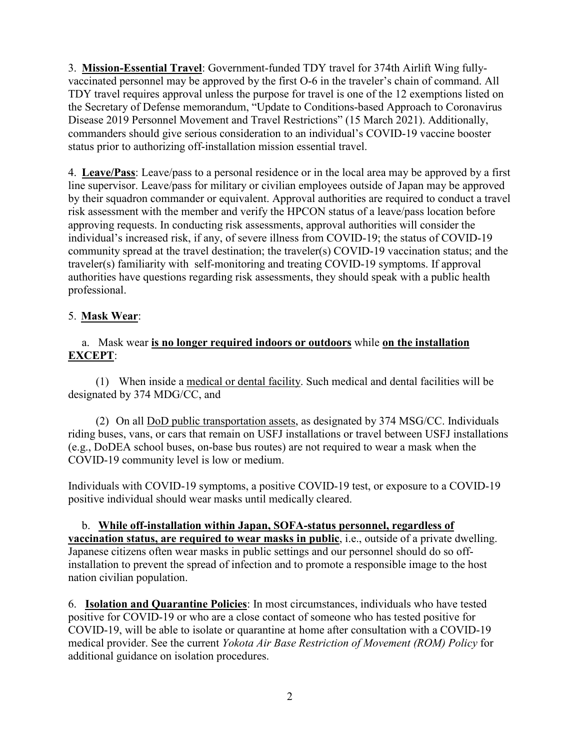3. **Mission-Essential Travel**: Government-funded TDY travel for 374th Airlift Wing fullyvaccinated personnel may be approved by the first O-6 in the traveler's chain of command. All TDY travel requires approval unless the purpose for travel is one of the 12 exemptions listed on the Secretary of Defense memorandum, "Update to Conditions-based Approach to Coronavirus Disease 2019 Personnel Movement and Travel Restrictions" (15 March 2021). Additionally, commanders should give serious consideration to an individual's COVID-19 vaccine booster status prior to authorizing off-installation mission essential travel.

4. **Leave/Pass**: Leave/pass to a personal residence or in the local area may be approved by a first line supervisor. Leave/pass for military or civilian employees outside of Japan may be approved by their squadron commander or equivalent. Approval authorities are required to conduct a travel risk assessment with the member and verify the HPCON status of a leave/pass location before approving requests. In conducting risk assessments, approval authorities will consider the individual's increased risk, if any, of severe illness from COVID-19; the status of COVID-19 community spread at the travel destination; the traveler(s) COVID-19 vaccination status; and the traveler(s) familiarity with self-monitoring and treating COVID-19 symptoms. If approval authorities have questions regarding risk assessments, they should speak with a public health professional.

## 5. **Mask Wear**:

## a. Mask wear **is no longer required indoors or outdoors** while **on the installation EXCEPT**:

(1) When inside a medical or dental facility. Such medical and dental facilities will be designated by 374 MDG/CC, and

(2) On all DoD public transportation assets, as designated by 374 MSG/CC. Individuals riding buses, vans, or cars that remain on USFJ installations or travel between USFJ installations (e.g., DoDEA school buses, on-base bus routes) are not required to wear a mask when the COVID-19 community level is low or medium.

Individuals with COVID-19 symptoms, a positive COVID-19 test, or exposure to a COVID-19 positive individual should wear masks until medically cleared.

b. **While off-installation within Japan, SOFA-status personnel, regardless of vaccination status, are required to wear masks in public**, i.e., outside of a private dwelling. Japanese citizens often wear masks in public settings and our personnel should do so offinstallation to prevent the spread of infection and to promote a responsible image to the host nation civilian population.

6. **Isolation and Quarantine Policies**: In most circumstances, individuals who have tested positive for COVID-19 or who are a close contact of someone who has tested positive for COVID-19, will be able to isolate or quarantine at home after consultation with a COVID-19 medical provider. See the current *Yokota Air Base Restriction of Movement (ROM) Policy* for additional guidance on isolation procedures.